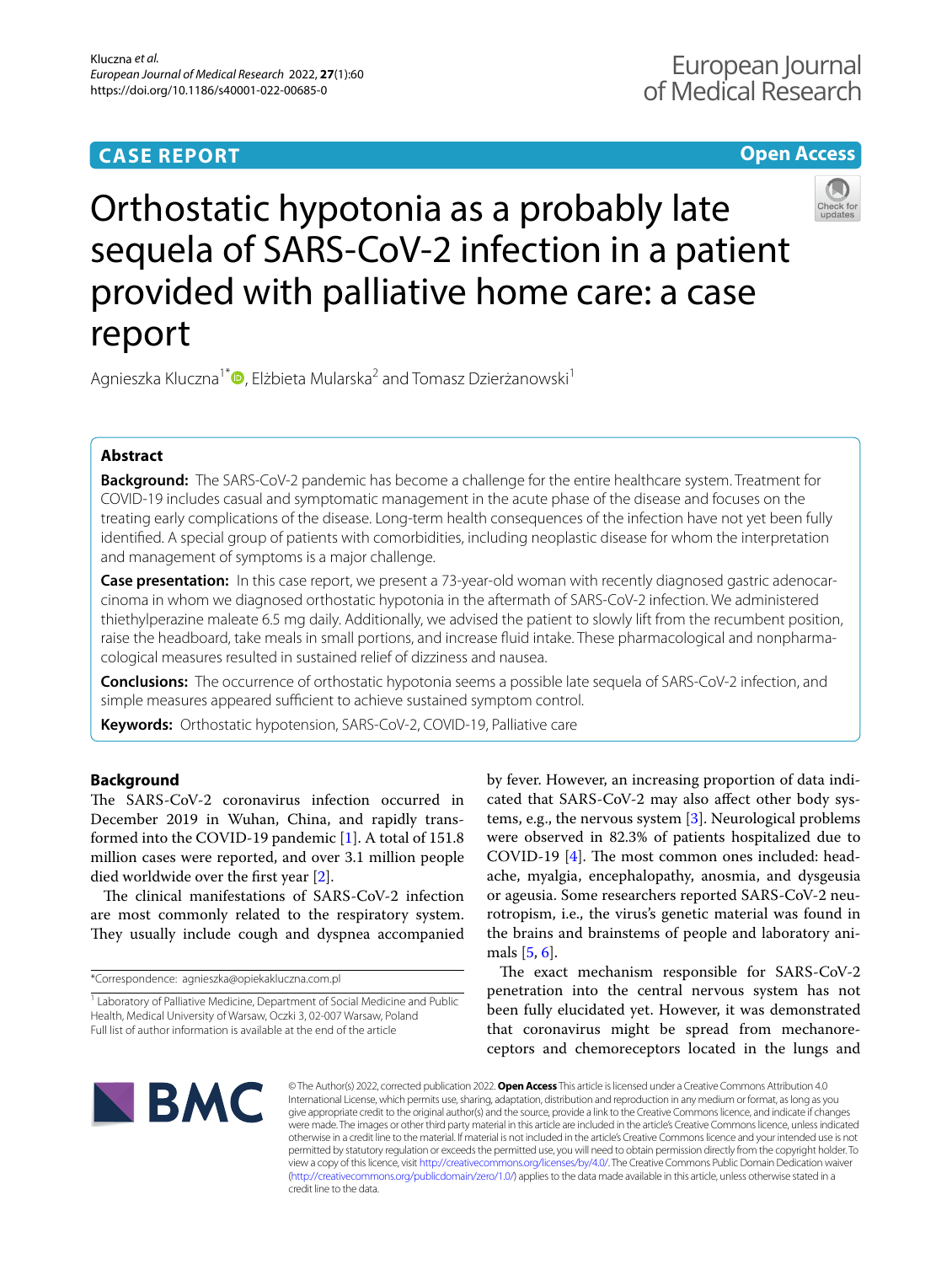## **CASE REPORT**

## **Open Access**



# Orthostatic hypotonia as a probably late sequela of SARS-CoV-2 infection in a patient provided with palliative home care: a case report

Agnieszka Kluczna<sup>1\*</sup><sup>D</sup>[,](http://orcid.org/0000-0003-0313-8075) Elżbieta Mularska<sup>2</sup> and Tomasz Dzierżanowski<sup>1</sup>

## **Abstract**

**Background:** The SARS-CoV-2 pandemic has become a challenge for the entire healthcare system. Treatment for COVID-19 includes casual and symptomatic management in the acute phase of the disease and focuses on the treating early complications of the disease. Long-term health consequences of the infection have not yet been fully identifed. A special group of patients with comorbidities, including neoplastic disease for whom the interpretation and management of symptoms is a major challenge.

**Case presentation:** In this case report, we present a 73-year-old woman with recently diagnosed gastric adenocarcinoma in whom we diagnosed orthostatic hypotonia in the aftermath of SARS-CoV-2 infection. We administered thiethylperazine maleate 6.5 mg daily. Additionally, we advised the patient to slowly lift from the recumbent position, raise the headboard, take meals in small portions, and increase fuid intake. These pharmacological and nonpharmacological measures resulted in sustained relief of dizziness and nausea.

**Conclusions:** The occurrence of orthostatic hypotonia seems a possible late sequela of SARS-CoV-2 infection, and simple measures appeared sufficient to achieve sustained symptom control.

**Keywords:** Orthostatic hypotension, SARS-CoV-2, COVID-19, Palliative care

## **Background**

The SARS-CoV-2 coronavirus infection occurred in December 2019 in Wuhan, China, and rapidly transformed into the COVID-19 pandemic [[1\]](#page-4-0). A total of 151.8 million cases were reported, and over 3.1 million people died worldwide over the frst year [[2\]](#page-4-1).

The clinical manifestations of SARS-CoV-2 infection are most commonly related to the respiratory system. They usually include cough and dyspnea accompanied

\*Correspondence: agnieszka@opiekakluczna.com.pl

by fever. However, an increasing proportion of data indicated that SARS-CoV-2 may also afect other body systems, e.g., the nervous system [\[3](#page-4-2)]. Neurological problems were observed in 82.3% of patients hospitalized due to COVID-19  $[4]$  $[4]$  $[4]$ . The most common ones included: headache, myalgia, encephalopathy, anosmia, and dysgeusia or ageusia. Some researchers reported SARS-CoV-2 neurotropism, i.e., the virus's genetic material was found in the brains and brainstems of people and laboratory animals [\[5](#page-4-4), [6\]](#page-4-5).

The exact mechanism responsible for SARS-CoV-2 penetration into the central nervous system has not been fully elucidated yet. However, it was demonstrated that coronavirus might be spread from mechanoreceptors and chemoreceptors located in the lungs and



© The Author(s) 2022, corrected publication 2022. **Open Access** This article is licensed under a Creative Commons Attribution 4.0 International License, which permits use, sharing, adaptation, distribution and reproduction in any medium or format, as long as you give appropriate credit to the original author(s) and the source, provide a link to the Creative Commons licence, and indicate if changes were made. The images or other third party material in this article are included in the article's Creative Commons licence, unless indicated otherwise in a credit line to the material. If material is not included in the article's Creative Commons licence and your intended use is not permitted by statutory regulation or exceeds the permitted use, you will need to obtain permission directly from the copyright holder. To view a copy of this licence, visit [http://creativecommons.org/licenses/by/4.0/.](http://creativecommons.org/licenses/by/4.0/) The Creative Commons Public Domain Dedication waiver [\(http://creativecommons.org/publicdomain/zero/1.0/\)](http://creativecommons.org/publicdomain/zero/1.0/) applies to the data made available in this article, unless otherwise stated in a credit line to the data.

<sup>&</sup>lt;sup>1</sup> Laboratory of Palliative Medicine, Department of Social Medicine and Public Health, Medical University of Warsaw, Oczki 3, 02-007 Warsaw, Poland Full list of author information is available at the end of the article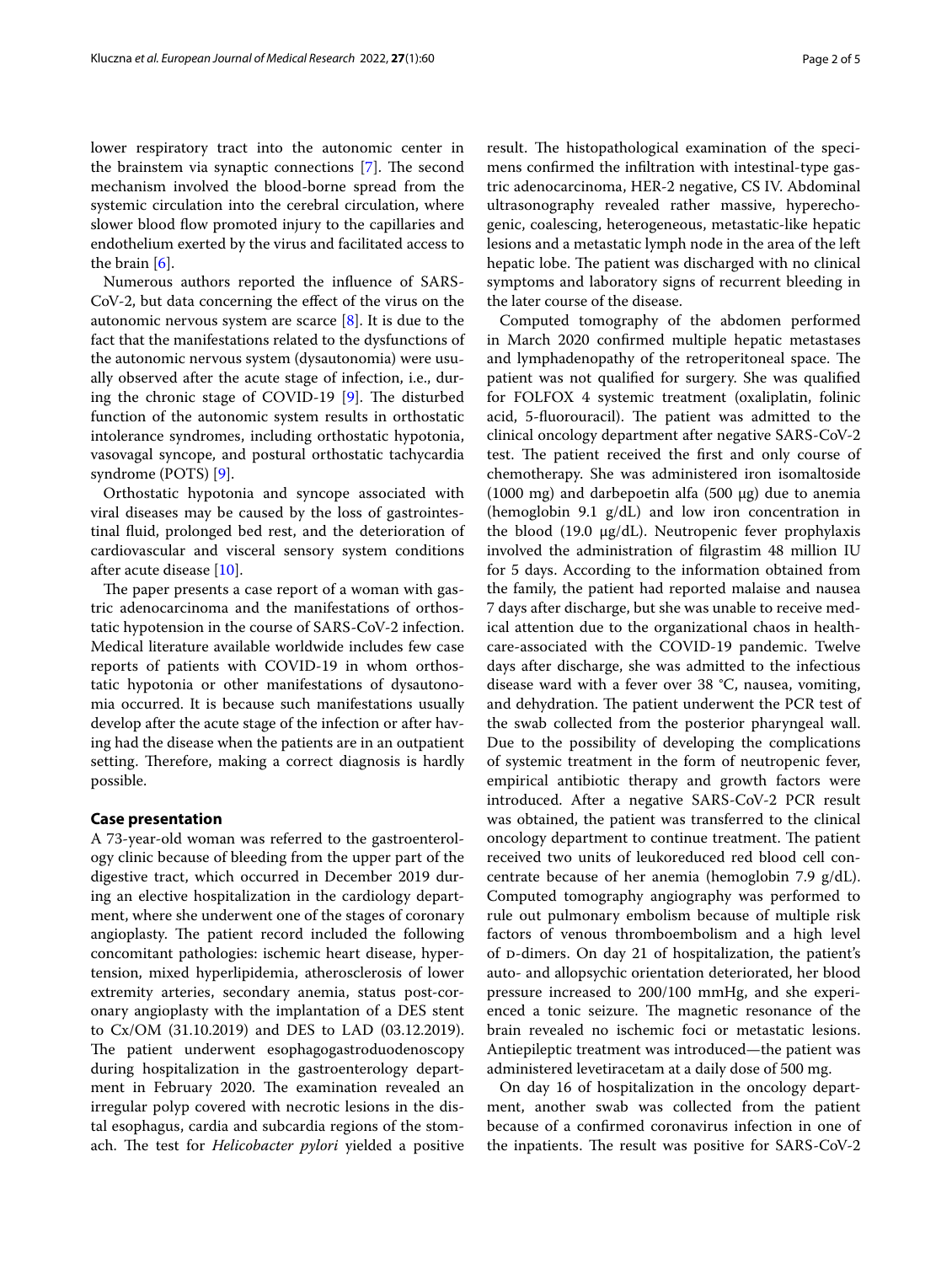lower respiratory tract into the autonomic center in the brainstem via synaptic connections  $[7]$  $[7]$  $[7]$ . The second mechanism involved the blood-borne spread from the systemic circulation into the cerebral circulation, where slower blood flow promoted injury to the capillaries and endothelium exerted by the virus and facilitated access to the brain [[6\]](#page-4-5).

Numerous authors reported the infuence of SARS-CoV-2, but data concerning the efect of the virus on the autonomic nervous system are scarce [[8\]](#page-4-7). It is due to the fact that the manifestations related to the dysfunctions of the autonomic nervous system (dysautonomia) were usually observed after the acute stage of infection, i.e., during the chronic stage of COVID-19  $[9]$  $[9]$ . The disturbed function of the autonomic system results in orthostatic intolerance syndromes, including orthostatic hypotonia, vasovagal syncope, and postural orthostatic tachycardia syndrome (POTS) [\[9](#page-4-8)].

Orthostatic hypotonia and syncope associated with viral diseases may be caused by the loss of gastrointestinal fuid, prolonged bed rest, and the deterioration of cardiovascular and visceral sensory system conditions after acute disease [[10\]](#page-4-9).

The paper presents a case report of a woman with gastric adenocarcinoma and the manifestations of orthostatic hypotension in the course of SARS-CoV-2 infection. Medical literature available worldwide includes few case reports of patients with COVID-19 in whom orthostatic hypotonia or other manifestations of dysautonomia occurred. It is because such manifestations usually develop after the acute stage of the infection or after having had the disease when the patients are in an outpatient setting. Therefore, making a correct diagnosis is hardly possible.

### **Case presentation**

A 73-year-old woman was referred to the gastroenterology clinic because of bleeding from the upper part of the digestive tract, which occurred in December 2019 during an elective hospitalization in the cardiology department, where she underwent one of the stages of coronary angioplasty. The patient record included the following concomitant pathologies: ischemic heart disease, hypertension, mixed hyperlipidemia, atherosclerosis of lower extremity arteries, secondary anemia, status post-coronary angioplasty with the implantation of a DES stent to Cx/OM (31.10.2019) and DES to LAD (03.12.2019). The patient underwent esophagogastroduodenoscopy during hospitalization in the gastroenterology department in February 2020. The examination revealed an irregular polyp covered with necrotic lesions in the distal esophagus, cardia and subcardia regions of the stomach. The test for *Helicobacter pylori* yielded a positive result. The histopathological examination of the specimens confrmed the infltration with intestinal-type gastric adenocarcinoma, HER-2 negative, CS IV. Abdominal ultrasonography revealed rather massive, hyperechogenic, coalescing, heterogeneous, metastatic-like hepatic lesions and a metastatic lymph node in the area of the left hepatic lobe. The patient was discharged with no clinical symptoms and laboratory signs of recurrent bleeding in the later course of the disease.

Computed tomography of the abdomen performed in March 2020 confrmed multiple hepatic metastases and lymphadenopathy of the retroperitoneal space. The patient was not qualifed for surgery. She was qualifed for FOLFOX 4 systemic treatment (oxaliplatin, folinic acid, 5-fluorouracil). The patient was admitted to the clinical oncology department after negative SARS-CoV-2 test. The patient received the first and only course of chemotherapy. She was administered iron isomaltoside (1000 mg) and darbepoetin alfa (500 µg) due to anemia (hemoglobin 9.1 g/dL) and low iron concentration in the blood (19.0 μg/dL). Neutropenic fever prophylaxis involved the administration of flgrastim 48 million IU for 5 days. According to the information obtained from the family, the patient had reported malaise and nausea 7 days after discharge, but she was unable to receive medical attention due to the organizational chaos in healthcare-associated with the COVID-19 pandemic. Twelve days after discharge, she was admitted to the infectious disease ward with a fever over 38 °C, nausea, vomiting, and dehydration. The patient underwent the PCR test of the swab collected from the posterior pharyngeal wall. Due to the possibility of developing the complications of systemic treatment in the form of neutropenic fever, empirical antibiotic therapy and growth factors were introduced. After a negative SARS-CoV-2 PCR result was obtained, the patient was transferred to the clinical oncology department to continue treatment. The patient received two units of leukoreduced red blood cell concentrate because of her anemia (hemoglobin 7.9 g/dL). Computed tomography angiography was performed to rule out pulmonary embolism because of multiple risk factors of venous thromboembolism and a high level of p-dimers. On day 21 of hospitalization, the patient's auto- and allopsychic orientation deteriorated, her blood pressure increased to 200/100 mmHg, and she experienced a tonic seizure. The magnetic resonance of the brain revealed no ischemic foci or metastatic lesions. Antiepileptic treatment was introduced—the patient was administered levetiracetam at a daily dose of 500 mg.

On day 16 of hospitalization in the oncology department, another swab was collected from the patient because of a confrmed coronavirus infection in one of the inpatients. The result was positive for SARS-CoV-2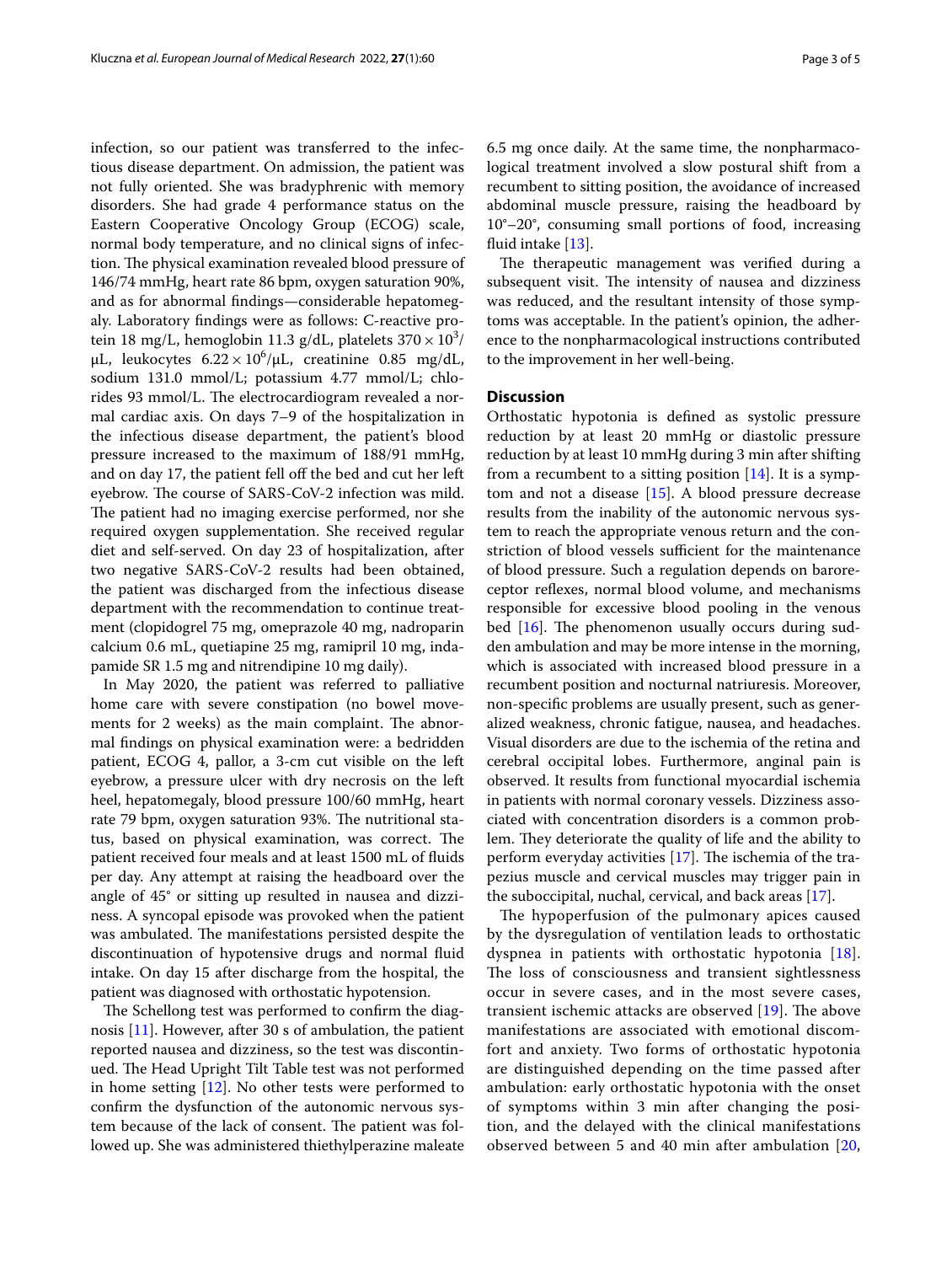infection, so our patient was transferred to the infectious disease department. On admission, the patient was not fully oriented. She was bradyphrenic with memory disorders. She had grade 4 performance status on the Eastern Cooperative Oncology Group (ECOG) scale, normal body temperature, and no clinical signs of infection. The physical examination revealed blood pressure of 146/74 mmHg, heart rate 86 bpm, oxygen saturation 90%, and as for abnormal fndings—considerable hepatomegaly. Laboratory fndings were as follows: C-reactive protein 18 mg/L, hemoglobin 11.3 g/dL, platelets 370  $\times$  10<sup>3</sup>/  $\mu$ L, leukocytes 6.22 × 10<sup>6</sup>/ $\mu$ L, creatinine 0.85 mg/dL, sodium 131.0 mmol/L; potassium 4.77 mmol/L; chlorides 93 mmol/L. The electrocardiogram revealed a normal cardiac axis. On days 7–9 of the hospitalization in the infectious disease department, the patient's blood pressure increased to the maximum of 188/91 mmHg, and on day 17, the patient fell off the bed and cut her left eyebrow. The course of SARS-CoV-2 infection was mild. The patient had no imaging exercise performed, nor she required oxygen supplementation. She received regular diet and self-served. On day 23 of hospitalization, after two negative SARS-CoV-2 results had been obtained, the patient was discharged from the infectious disease department with the recommendation to continue treatment (clopidogrel 75 mg, omeprazole 40 mg, nadroparin calcium 0.6 mL, quetiapine 25 mg, ramipril 10 mg, indapamide SR 1.5 mg and nitrendipine 10 mg daily).

In May 2020, the patient was referred to palliative home care with severe constipation (no bowel movements for 2 weeks) as the main complaint. The abnormal fndings on physical examination were: a bedridden patient, ECOG 4, pallor, a 3-cm cut visible on the left eyebrow, a pressure ulcer with dry necrosis on the left heel, hepatomegaly, blood pressure 100/60 mmHg, heart rate 79 bpm, oxygen saturation 93%. The nutritional status, based on physical examination, was correct. The patient received four meals and at least 1500 mL of fuids per day. Any attempt at raising the headboard over the angle of 45° or sitting up resulted in nausea and dizziness. A syncopal episode was provoked when the patient was ambulated. The manifestations persisted despite the discontinuation of hypotensive drugs and normal fuid intake. On day 15 after discharge from the hospital, the patient was diagnosed with orthostatic hypotension.

The Schellong test was performed to confirm the diagnosis [[11](#page-4-10)]. However, after 30 s of ambulation, the patient reported nausea and dizziness, so the test was discontinued. The Head Upright Tilt Table test was not performed in home setting [\[12](#page-4-11)]. No other tests were performed to confrm the dysfunction of the autonomic nervous system because of the lack of consent. The patient was followed up. She was administered thiethylperazine maleate 6.5 mg once daily. At the same time, the nonpharmacological treatment involved a slow postural shift from a recumbent to sitting position, the avoidance of increased abdominal muscle pressure, raising the headboard by 10°–20°, consuming small portions of food, increasing fluid intake [\[13](#page-4-12)].

The therapeutic management was verified during a subsequent visit. The intensity of nausea and dizziness was reduced, and the resultant intensity of those symptoms was acceptable. In the patient's opinion, the adherence to the nonpharmacological instructions contributed to the improvement in her well-being.

## **Discussion**

Orthostatic hypotonia is defned as systolic pressure reduction by at least 20 mmHg or diastolic pressure reduction by at least 10 mmHg during 3 min after shifting from a recumbent to a sitting position  $[14]$ . It is a symptom and not a disease [[15\]](#page-4-14). A blood pressure decrease results from the inability of the autonomic nervous system to reach the appropriate venous return and the constriction of blood vessels sufficient for the maintenance of blood pressure. Such a regulation depends on baroreceptor refexes, normal blood volume, and mechanisms responsible for excessive blood pooling in the venous bed  $[16]$  $[16]$ . The phenomenon usually occurs during sudden ambulation and may be more intense in the morning, which is associated with increased blood pressure in a recumbent position and nocturnal natriuresis. Moreover, non-specifc problems are usually present, such as generalized weakness, chronic fatigue, nausea, and headaches. Visual disorders are due to the ischemia of the retina and cerebral occipital lobes. Furthermore, anginal pain is observed. It results from functional myocardial ischemia in patients with normal coronary vessels. Dizziness associated with concentration disorders is a common problem. They deteriorate the quality of life and the ability to perform everyday activities  $[17]$  $[17]$ . The ischemia of the trapezius muscle and cervical muscles may trigger pain in the suboccipital, nuchal, cervical, and back areas [[17](#page-4-16)].

The hypoperfusion of the pulmonary apices caused by the dysregulation of ventilation leads to orthostatic dyspnea in patients with orthostatic hypotonia [[18](#page-4-17)]. The loss of consciousness and transient sightlessness occur in severe cases, and in the most severe cases, transient ischemic attacks are observed  $[19]$  $[19]$ . The above manifestations are associated with emotional discomfort and anxiety. Two forms of orthostatic hypotonia are distinguished depending on the time passed after ambulation: early orthostatic hypotonia with the onset of symptoms within 3 min after changing the position, and the delayed with the clinical manifestations observed between 5 and 40 min after ambulation [\[20](#page-4-19),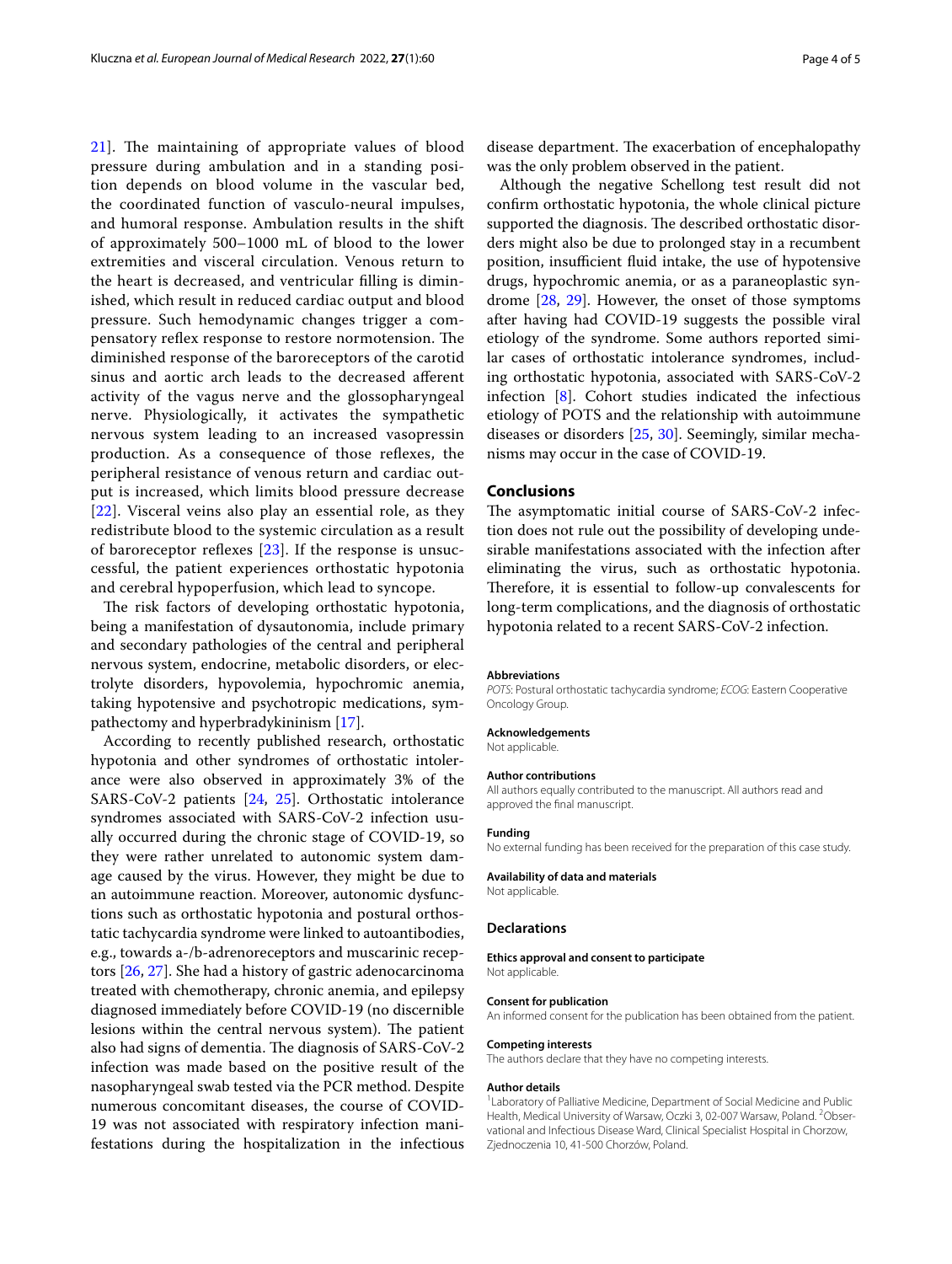[21\]](#page-4-20). The maintaining of appropriate values of blood pressure during ambulation and in a standing position depends on blood volume in the vascular bed, the coordinated function of vasculo-neural impulses, and humoral response. Ambulation results in the shift of approximately 500–1000 mL of blood to the lower extremities and visceral circulation. Venous return to the heart is decreased, and ventricular flling is diminished, which result in reduced cardiac output and blood pressure. Such hemodynamic changes trigger a compensatory reflex response to restore normotension. The diminished response of the baroreceptors of the carotid sinus and aortic arch leads to the decreased aferent activity of the vagus nerve and the glossopharyngeal nerve. Physiologically, it activates the sympathetic nervous system leading to an increased vasopressin production. As a consequence of those refexes, the peripheral resistance of venous return and cardiac output is increased, which limits blood pressure decrease [[22](#page-4-21)]. Visceral veins also play an essential role, as they redistribute blood to the systemic circulation as a result of baroreceptor reflexes  $[23]$  $[23]$  $[23]$ . If the response is unsuccessful, the patient experiences orthostatic hypotonia and cerebral hypoperfusion, which lead to syncope.

The risk factors of developing orthostatic hypotonia, being a manifestation of dysautonomia, include primary and secondary pathologies of the central and peripheral nervous system, endocrine, metabolic disorders, or electrolyte disorders, hypovolemia, hypochromic anemia, taking hypotensive and psychotropic medications, sympathectomy and hyperbradykininism [[17\]](#page-4-16).

According to recently published research, orthostatic hypotonia and other syndromes of orthostatic intolerance were also observed in approximately 3% of the SARS-CoV-2 patients [[24](#page-4-23), [25](#page-4-24)]. Orthostatic intolerance syndromes associated with SARS-CoV-2 infection usually occurred during the chronic stage of COVID-19, so they were rather unrelated to autonomic system damage caused by the virus. However, they might be due to an autoimmune reaction. Moreover, autonomic dysfunctions such as orthostatic hypotonia and postural orthostatic tachycardia syndrome were linked to autoantibodies, e.g., towards a-/b-adrenoreceptors and muscarinic receptors [\[26,](#page-4-25) [27](#page-4-26)]. She had a history of gastric adenocarcinoma treated with chemotherapy, chronic anemia, and epilepsy diagnosed immediately before COVID-19 (no discernible lesions within the central nervous system). The patient also had signs of dementia. The diagnosis of SARS-CoV-2 infection was made based on the positive result of the nasopharyngeal swab tested via the PCR method. Despite numerous concomitant diseases, the course of COVID-19 was not associated with respiratory infection manifestations during the hospitalization in the infectious

disease department. The exacerbation of encephalopathy was the only problem observed in the patient.

Although the negative Schellong test result did not confrm orthostatic hypotonia, the whole clinical picture supported the diagnosis. The described orthostatic disorders might also be due to prolonged stay in a recumbent position, insufficient fluid intake, the use of hypotensive drugs, hypochromic anemia, or as a paraneoplastic syndrome [[28](#page-4-27), [29](#page-4-28)]. However, the onset of those symptoms after having had COVID-19 suggests the possible viral etiology of the syndrome. Some authors reported similar cases of orthostatic intolerance syndromes, including orthostatic hypotonia, associated with SARS-CoV-2 infection [\[8](#page-4-7)]. Cohort studies indicated the infectious etiology of POTS and the relationship with autoimmune diseases or disorders [[25,](#page-4-24) [30\]](#page-4-29). Seemingly, similar mechanisms may occur in the case of COVID-19.

#### **Conclusions**

The asymptomatic initial course of SARS-CoV-2 infection does not rule out the possibility of developing undesirable manifestations associated with the infection after eliminating the virus, such as orthostatic hypotonia. Therefore, it is essential to follow-up convalescents for long-term complications, and the diagnosis of orthostatic hypotonia related to a recent SARS-CoV-2 infection.

#### **Abbreviations**

*POTS*: Postural orthostatic tachycardia syndrome; *ECOG*: Eastern Cooperative Oncology Group.

#### **Acknowledgements**

Not applicable.

#### **Author contributions**

All authors equally contributed to the manuscript. All authors read and approved the fnal manuscript.

#### **Funding**

No external funding has been received for the preparation of this case study.

## **Availability of data and materials**

Not applicable.

#### **Declarations**

**Ethics approval and consent to participate** Not applicable.

#### **Consent for publication**

An informed consent for the publication has been obtained from the patient.

#### **Competing interests**

The authors declare that they have no competing interests.

#### **Author details**

<sup>1</sup> Laboratory of Palliative Medicine, Department of Social Medicine and Public Health, Medical University of Warsaw, Oczki 3, 02-007 Warsaw, Poland. <sup>2</sup>Observational and Infectious Disease Ward, Clinical Specialist Hospital in Chorzow, Zjednoczenia 10, 41-500 Chorzów, Poland.